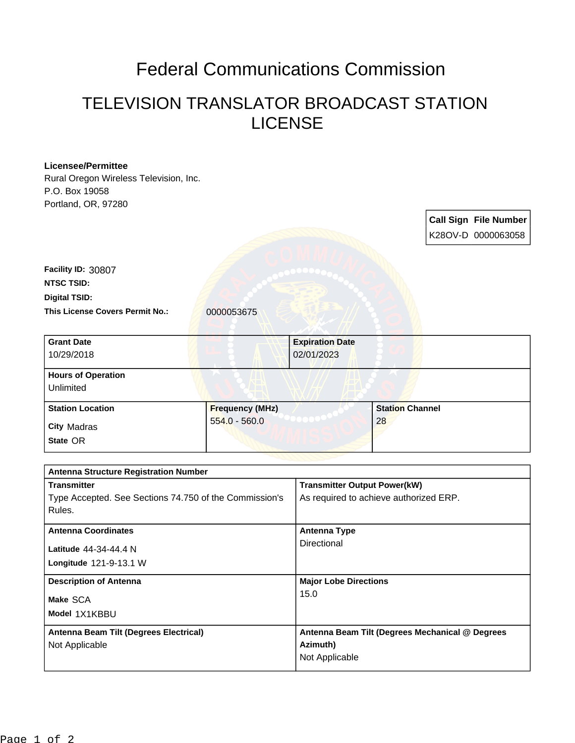## Federal Communications Commission

## TELEVISION TRANSLATOR BROADCAST STATION LICENSE

| <b>Licensee/Permittee</b>                              |                        |                                                 |    |                        |                              |
|--------------------------------------------------------|------------------------|-------------------------------------------------|----|------------------------|------------------------------|
| Rural Oregon Wireless Television, Inc.                 |                        |                                                 |    |                        |                              |
| P.O. Box 19058                                         |                        |                                                 |    |                        |                              |
| Portland, OR, 97280                                    |                        |                                                 |    |                        |                              |
|                                                        |                        |                                                 |    |                        | <b>Call Sign File Number</b> |
|                                                        |                        |                                                 |    |                        |                              |
|                                                        |                        |                                                 |    |                        | K28OV-D 0000063058           |
|                                                        |                        |                                                 |    |                        |                              |
| Facility ID: 30807                                     |                        |                                                 |    |                        |                              |
| <b>NTSC TSID:</b>                                      |                        |                                                 |    |                        |                              |
| <b>Digital TSID:</b>                                   |                        |                                                 |    |                        |                              |
| <b>This License Covers Permit No.:</b>                 |                        |                                                 |    |                        |                              |
|                                                        | 0000053675             |                                                 |    |                        |                              |
|                                                        |                        |                                                 |    |                        |                              |
| <b>Grant Date</b>                                      |                        | <b>Expiration Date</b>                          |    |                        |                              |
| 10/29/2018                                             |                        | 02/01/2023                                      |    |                        |                              |
| <b>Hours of Operation</b>                              |                        |                                                 |    |                        |                              |
| Unlimited                                              |                        |                                                 |    |                        |                              |
|                                                        |                        |                                                 |    |                        |                              |
| <b>Station Location</b>                                | <b>Frequency (MHz)</b> |                                                 |    | <b>Station Channel</b> |                              |
| <b>City Madras</b>                                     | $554.0 - 560.0$        |                                                 | 28 |                        |                              |
|                                                        |                        |                                                 |    |                        |                              |
| State OR                                               |                        |                                                 |    |                        |                              |
|                                                        |                        |                                                 |    |                        |                              |
| <b>Antenna Structure Registration Number</b>           |                        |                                                 |    |                        |                              |
| <b>Transmitter</b>                                     |                        | <b>Transmitter Output Power(kW)</b>             |    |                        |                              |
| Type Accepted. See Sections 74.750 of the Commission's |                        | As required to achieve authorized ERP.          |    |                        |                              |
| Rules.                                                 |                        |                                                 |    |                        |                              |
| <b>Antenna Coordinates</b>                             |                        | <b>Antenna Type</b>                             |    |                        |                              |
|                                                        |                        | Directional                                     |    |                        |                              |
| Latitude 44-34-44.4 N                                  |                        |                                                 |    |                        |                              |
| Longitude 121-9-13.1 W                                 |                        |                                                 |    |                        |                              |
| <b>Description of Antenna</b>                          |                        | <b>Major Lobe Directions</b>                    |    |                        |                              |
|                                                        |                        | 15.0                                            |    |                        |                              |
| Make SCA                                               |                        |                                                 |    |                        |                              |
| Model 1X1KBBU                                          |                        |                                                 |    |                        |                              |
| Antenna Beam Tilt (Degrees Electrical)                 |                        | Antenna Beam Tilt (Degrees Mechanical @ Degrees |    |                        |                              |
| Not Applicable                                         |                        | Azimuth)                                        |    |                        |                              |
|                                                        |                        |                                                 |    |                        |                              |
|                                                        |                        | Not Applicable                                  |    |                        |                              |